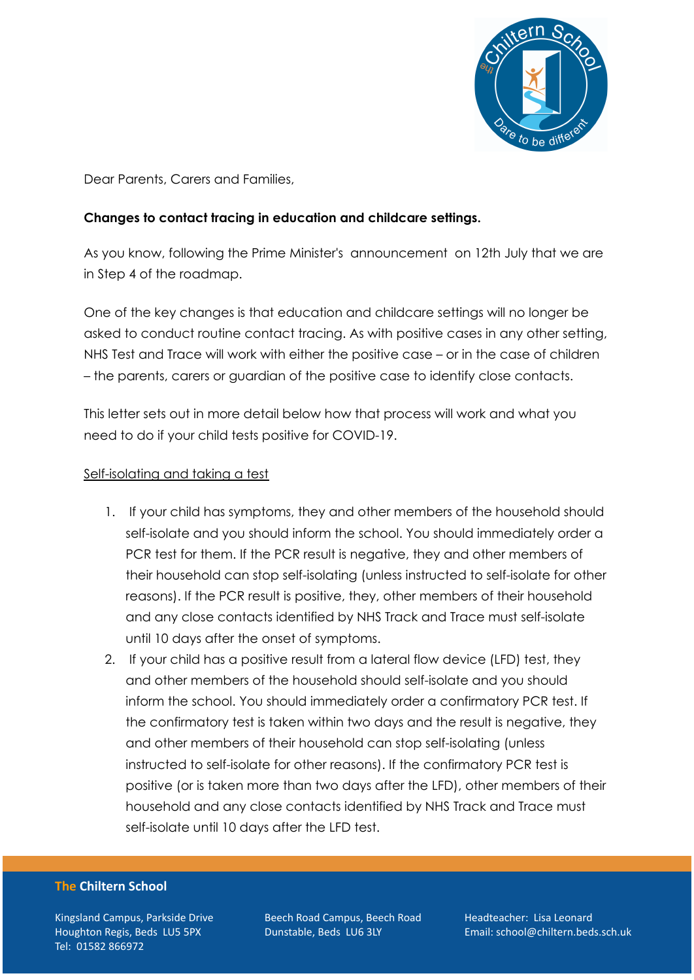

Dear Parents, Carers and Families,

## **Changes to contact tracing in education and childcare settings.**

As you know, following the Prime Minister's announcement on 12th July that we are in Step 4 of the roadmap.

One of the key changes is that education and childcare settings will no longer be asked to conduct routine contact tracing. As with positive cases in any other setting, NHS Test and Trace will work with either the positive case – or in the case of children – the parents, carers or guardian of the positive case to identify close contacts.

This letter sets out in more detail below how that process will work and what you need to do if your child tests positive for COVID-19.

### Self-isolating and taking a test

- 1. If your child has symptoms, they and other members of the household should self-isolate and you should inform the school. You should immediately order a PCR test for them. If the PCR result is negative, they and other members of their household can stop self-isolating (unless instructed to self-isolate for other reasons). If the PCR result is positive, they, other members of their household and any close contacts identified by NHS Track and Trace must self-isolate until 10 days after the onset of symptoms.
- 2. If your child has a positive result from a lateral flow device (LFD) test, they and other members of the household should self-isolate and you should inform the school. You should immediately order a confirmatory PCR test. If the confirmatory test is taken within two days and the result is negative, they and other members of their household can stop self-isolating (unless instructed to self-isolate for other reasons). If the confirmatory PCR test is positive (or is taken more than two days after the LFD), other members of their household and any close contacts identified by NHS Track and Trace must self-isolate until 10 days after the LFD test.

#### **The Chiltern School**

Kingsland Campus, Parkside Drive Houghton Regis, Beds LU5 5PX Tel: 01582 866972

Beech Road Campus, Beech Road Dunstable, Beds LU6 3LY

Headteacher: Lisa Leonard Email: school@chiltern.beds.sch.uk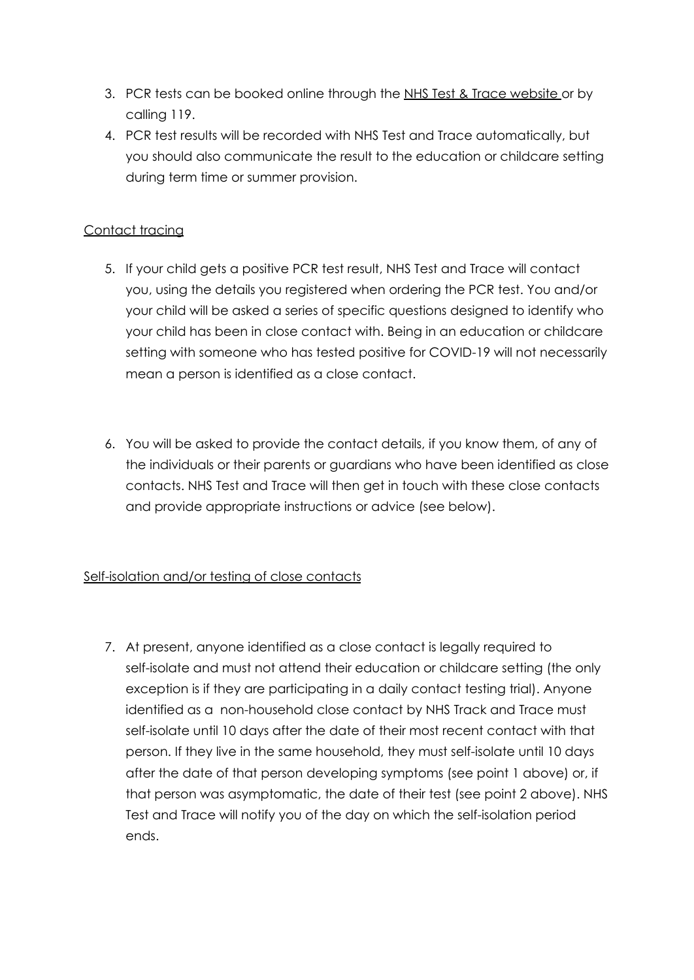- 3. PCR tests can be booked online through the NHS Test & Trace [website](https://www.nhs.uk/conditions/coronavirus-covid-19/testing/) or by calling 119.
- 4. PCR test results will be recorded with NHS Test and Trace automatically, but you should also communicate the result to the education or childcare setting during term time or summer provision.

## Contact tracing

- 5. If your child gets a positive PCR test result, NHS Test and Trace will contact you, using the details you registered when ordering the PCR test. You and/or your child will be asked a series of specific questions designed to identify who your child has been in close contact with. Being in an education or childcare setting with someone who has tested positive for COVID-19 will not necessarily mean a person is identified as a close contact.
- 6. You will be asked to provide the contact details, if you know them, of any of the individuals or their parents or guardians who have been identified as close contacts. NHS Test and Trace will then get in touch with these close contacts and provide appropriate instructions or advice (see below).

# Self-isolation and/or testing of close contacts

7. At present, anyone identified as a close contact is legally required to self-isolate and must not attend their education or childcare setting (the only exception is if they are participating in a daily contact testing trial). Anyone identified as a non-household close contact by NHS Track and Trace must self-isolate until 10 days after the date of their most recent contact with that person. If they live in the same household, they must self-isolate until 10 days after the date of that person developing symptoms (see point 1 above) or, if that person was asymptomatic, the date of their test (see point 2 above). NHS Test and Trace will notify you of the day on which the self-isolation period ends.